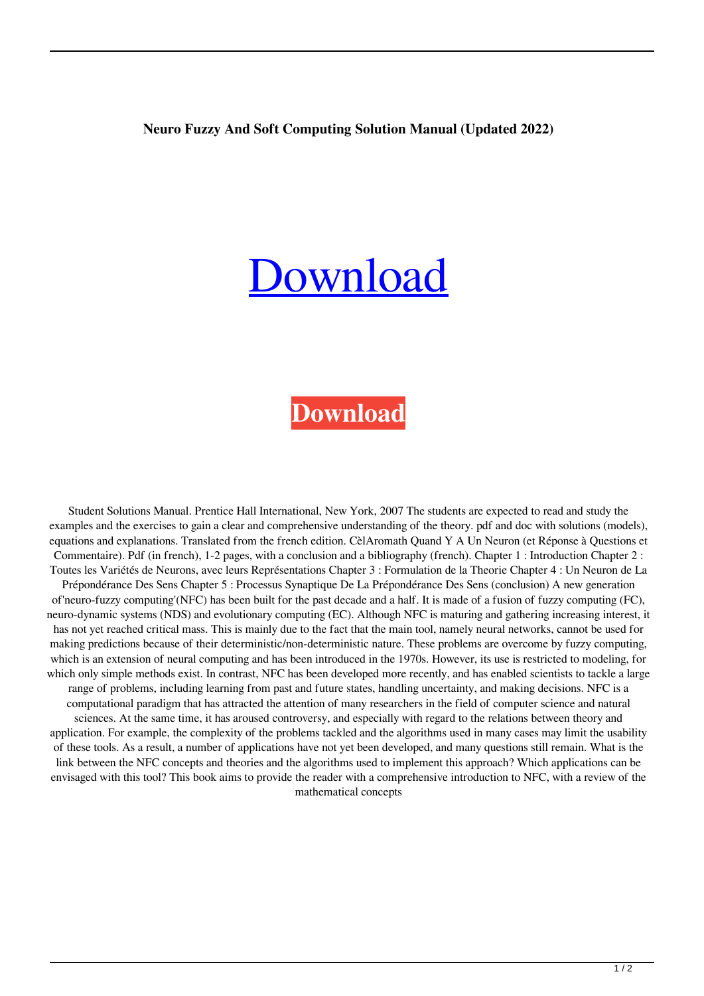## **Neuro Fuzzy And Soft Computing Solution Manual (Updated 2022)**

## [Download](http://evacdir.com/ZG93bmxvYWR8UWU2TVdkeE5IeDhNVFkxTWpRMk16QTFNSHg4TWpVM05IeDhLRTBwSUhKbFlXUXRZbXh2WnlCYlJtRnpkQ0JIUlU1ZA/complywith/bmV1cm8gZnV6enkgYW5kIHNvZnQgY29tcHV0aW5nIHNvbHV0aW9uIG1hbnVhbAbmV.interventionists?littoral=revaluated=dragged.vowed)

## **[Download](http://evacdir.com/ZG93bmxvYWR8UWU2TVdkeE5IeDhNVFkxTWpRMk16QTFNSHg4TWpVM05IeDhLRTBwSUhKbFlXUXRZbXh2WnlCYlJtRnpkQ0JIUlU1ZA/complywith/bmV1cm8gZnV6enkgYW5kIHNvZnQgY29tcHV0aW5nIHNvbHV0aW9uIG1hbnVhbAbmV.interventionists?littoral=revaluated=dragged.vowed)**

Student Solutions Manual. Prentice Hall International, New York, 2007 The students are expected to read and study the examples and the exercises to gain a clear and comprehensive understanding of the theory. pdf and doc with solutions (models), equations and explanations. Translated from the french edition. CèlAromath Quand Y A Un Neuron (et Réponse à Questions et Commentaire). Pdf (in french), 1-2 pages, with a conclusion and a bibliography (french). Chapter 1 : Introduction Chapter 2 : Toutes les Variétés de Neurons, avec leurs Représentations Chapter 3 : Formulation de la Theorie Chapter 4 : Un Neuron de La Prépondérance Des Sens Chapter 5 : Processus Synaptique De La Prépondérance Des Sens (conclusion) A new generation of'neuro-fuzzy computing'(NFC) has been built for the past decade and a half. It is made of a fusion of fuzzy computing (FC), neuro-dynamic systems (NDS) and evolutionary computing (EC). Although NFC is maturing and gathering increasing interest, it has not yet reached critical mass. This is mainly due to the fact that the main tool, namely neural networks, cannot be used for making predictions because of their deterministic/non-deterministic nature. These problems are overcome by fuzzy computing, which is an extension of neural computing and has been introduced in the 1970s. However, its use is restricted to modeling, for which only simple methods exist. In contrast, NFC has been developed more recently, and has enabled scientists to tackle a large range of problems, including learning from past and future states, handling uncertainty, and making decisions. NFC is a computational paradigm that has attracted the attention of many researchers in the field of computer science and natural sciences. At the same time, it has aroused controversy, and especially with regard to the relations between theory and application. For example, the complexity of the problems tackled and the algorithms used in many cases may limit the usability of these tools. As a result, a number of applications have not yet been developed, and many questions still remain. What is the link between the NFC concepts and theories and the algorithms used to implement this approach? Which applications can be envisaged with this tool? This book aims to provide the reader with a comprehensive introduction to NFC, with a review of the mathematical concepts